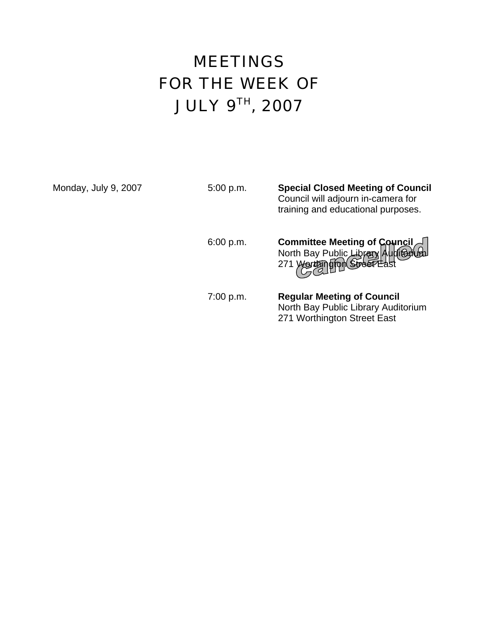# **MEETINGS** FOR THE WEEK OF JULY 9TH, 2007

Monday, July 9, 2007

| Monday, July 9, 2007 | 5:00 p.m. | <b>Special Closed Meeting of Council</b><br>Council will adjourn in-camera for<br>training and educational purposes. |
|----------------------|-----------|----------------------------------------------------------------------------------------------------------------------|
|                      | 6:00 p.m. | Committee Meeting of Council<br>North Bay Public Library Auditorium<br>271 yortan grow Street Last                   |
|                      | 7:00 p.m. | <b>Regular Meeting of Council</b><br>North Bay Public Library Auditorium<br>271 Worthington Street East              |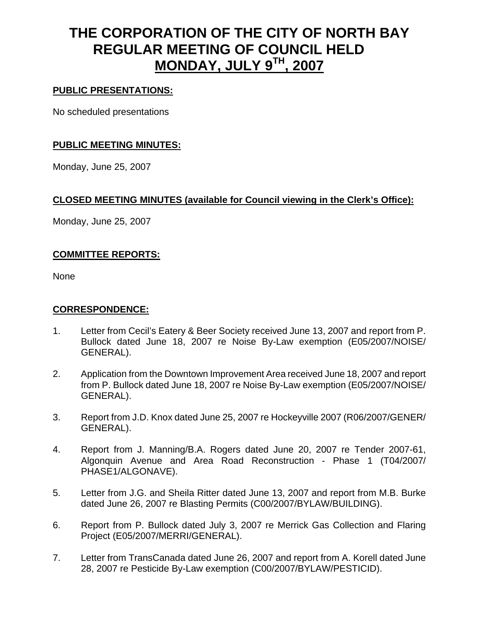# **THE CORPORATION OF THE CITY OF NORTH BAY REGULAR MEETING OF COUNCIL HELD MONDAY, JULY 9TH, 2007**

## **PUBLIC PRESENTATIONS:**

No scheduled presentations

#### **PUBLIC MEETING MINUTES:**

Monday, June 25, 2007

## **CLOSED MEETING MINUTES (available for Council viewing in the Clerk's Office):**

Monday, June 25, 2007

#### **COMMITTEE REPORTS:**

None

#### **CORRESPONDENCE:**

- 1. Letter from Cecil's Eatery & Beer Society received June 13, 2007 and report from P. Bullock dated June 18, 2007 re Noise By-Law exemption (E05/2007/NOISE/ GENERAL).
- 2. Application from the Downtown Improvement Area received June 18, 2007 and report from P. Bullock dated June 18, 2007 re Noise By-Law exemption (E05/2007/NOISE/ GENERAL).
- 3. Report from J.D. Knox dated June 25, 2007 re Hockeyville 2007 (R06/2007/GENER/ GENERAL).
- 4. Report from J. Manning/B.A. Rogers dated June 20, 2007 re Tender 2007-61, Algonquin Avenue and Area Road Reconstruction - Phase 1 (T04/2007/ PHASE1/ALGONAVE).
- 5. Letter from J.G. and Sheila Ritter dated June 13, 2007 and report from M.B. Burke dated June 26, 2007 re Blasting Permits (C00/2007/BYLAW/BUILDING).
- 6. Report from P. Bullock dated July 3, 2007 re Merrick Gas Collection and Flaring Project (E05/2007/MERRI/GENERAL).
- 7. Letter from TransCanada dated June 26, 2007 and report from A. Korell dated June 28, 2007 re Pesticide By-Law exemption (C00/2007/BYLAW/PESTICID).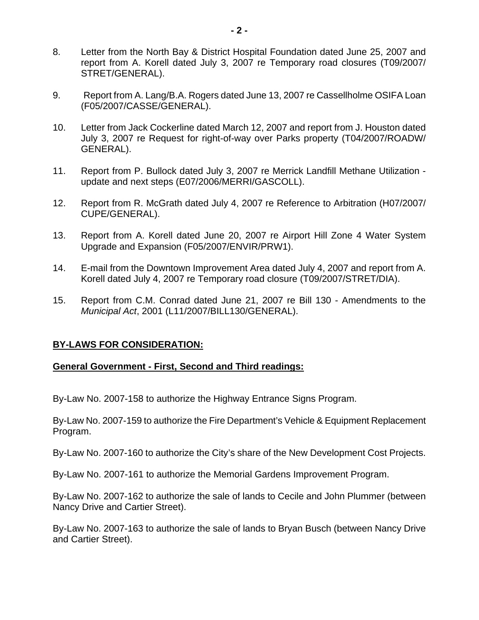- 8. Letter from the North Bay & District Hospital Foundation dated June 25, 2007 and report from A. Korell dated July 3, 2007 re Temporary road closures (T09/2007/ STRET/GENERAL).
- 9. Report from A. Lang/B.A. Rogers dated June 13, 2007 re Cassellholme OSIFA Loan (F05/2007/CASSE/GENERAL).
- 10. Letter from Jack Cockerline dated March 12, 2007 and report from J. Houston dated July 3, 2007 re Request for right-of-way over Parks property (T04/2007/ROADW/ GENERAL).
- 11. Report from P. Bullock dated July 3, 2007 re Merrick Landfill Methane Utilization update and next steps (E07/2006/MERRI/GASCOLL).
- 12. Report from R. McGrath dated July 4, 2007 re Reference to Arbitration (H07/2007/ CUPE/GENERAL).
- 13. Report from A. Korell dated June 20, 2007 re Airport Hill Zone 4 Water System Upgrade and Expansion (F05/2007/ENVIR/PRW1).
- 14. E-mail from the Downtown Improvement Area dated July 4, 2007 and report from A. Korell dated July 4, 2007 re Temporary road closure (T09/2007/STRET/DIA).
- 15. Report from C.M. Conrad dated June 21, 2007 re Bill 130 Amendments to the *Municipal Act*, 2001 (L11/2007/BILL130/GENERAL).

#### **BY-LAWS FOR CONSIDERATION:**

#### **General Government - First, Second and Third readings:**

By-Law No. 2007-158 to authorize the Highway Entrance Signs Program.

By-Law No. 2007-159 to authorize the Fire Department's Vehicle & Equipment Replacement Program.

By-Law No. 2007-160 to authorize the City's share of the New Development Cost Projects.

By-Law No. 2007-161 to authorize the Memorial Gardens Improvement Program.

By-Law No. 2007-162 to authorize the sale of lands to Cecile and John Plummer (between Nancy Drive and Cartier Street).

By-Law No. 2007-163 to authorize the sale of lands to Bryan Busch (between Nancy Drive and Cartier Street).